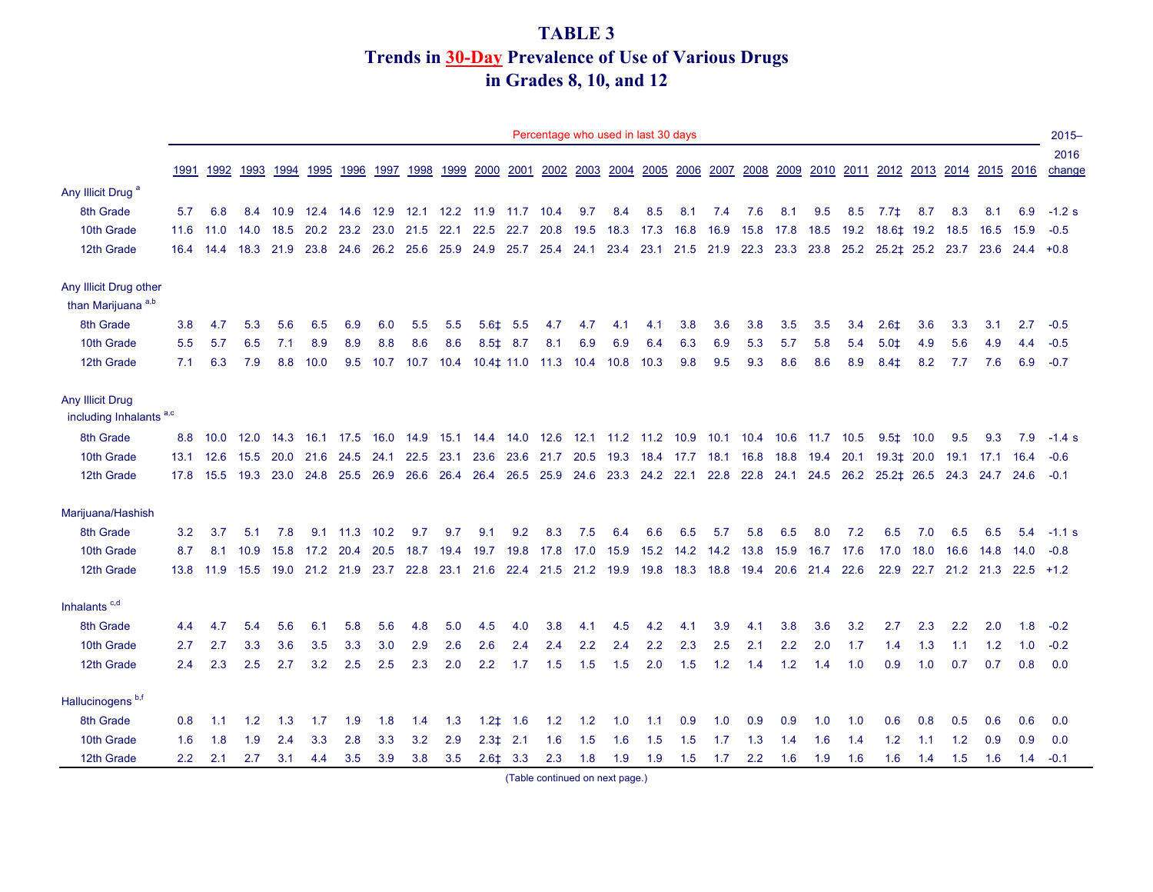#### **TABLE 3 Trends in 30-Day Prevalence of Use of Various Drugs in Grades 8, 10, and 12**

|                                                        |               |                        |           |      |      |           |                |           |                |                 |               |           |                | Percentage who used in last 30 days |           |      |      |                     |           |      |      |                               |      |                            |           |             | $2015 -$       |
|--------------------------------------------------------|---------------|------------------------|-----------|------|------|-----------|----------------|-----------|----------------|-----------------|---------------|-----------|----------------|-------------------------------------|-----------|------|------|---------------------|-----------|------|------|-------------------------------|------|----------------------------|-----------|-------------|----------------|
|                                                        | 1991          | 1992                   | 1993      | 1994 | 1995 | 1996      | 1997           | 1998      | 1999           | 2000            | 2001          |           | 2002 2003      |                                     | 2004 2005 | 2006 |      | 2007 2008           | 2009      | 2010 |      | 2011 2012 2013 2014 2015 2016 |      |                            |           |             | 2016<br>change |
| Any Illicit Drug <sup>a</sup>                          |               |                        |           |      |      |           |                |           |                |                 |               |           |                |                                     |           |      |      |                     |           |      |      |                               |      |                            |           |             |                |
| 8th Grade                                              | 5.7           | 6.8                    | 8.4       | 10.9 | 12.4 | 14.6 12.9 |                |           | 12.1 12.2 11.9 |                 | 11.7 10.4     |           | 9.7            | 8.4                                 | 8.5       | 8.1  | 7.4  | 7.6                 | 8.1       | 9.5  | 8.5  | $7.7\pm$                      | 8.7  | 8.3                        | 8.1       | 6.9         | $-1.2$ s       |
| 10th Grade                                             | 11.6          | 11.0                   | 14.0      | 18.5 | 20.2 | 23.2      | 23.0           | 21.5      | 22.1           | 22.5            | 22.7          | 20.8      | 19.5           | 18.3                                | 17.3      | 16.8 | 16.9 | 15.8                | 17.8      | 18.5 | 19.2 | 18.6‡ 19.2                    |      | 18.5                       | 16.5      | 15.9        | $-0.5$         |
| 12th Grade                                             |               | 16.4 14.4 18.3         |           | 21.9 | 23.8 | 24.6      | 26.2 25.6      |           | 25.9           | 24.9            | 25.7          |           | 25.4 24.1 23.4 |                                     | 23.1      | 21.5 | 21.9 | 22.3                | 23.3 23.8 |      |      | 25.2 25.2 25.2 23.7           |      |                            | 23.6      | $24.4 +0.8$ |                |
| Any Illicit Drug other                                 |               |                        |           |      |      |           |                |           |                |                 |               |           |                |                                     |           |      |      |                     |           |      |      |                               |      |                            |           |             |                |
| than Marijuana <sup>a,b</sup>                          |               |                        |           |      |      |           |                |           |                |                 |               |           |                |                                     |           |      |      |                     |           |      |      |                               |      |                            |           |             |                |
| 8th Grade                                              | 3.8           | 4.7                    | 5.3       | 5.6  | 6.5  | 6.9       | 6.0            | 5.5       | 5.5            | $5.6+$          | 5.5           | 4.7       | 4.7            | 4.1                                 | 4.1       | 3.8  | 3.6  | 3.8                 | 3.5       | 3.5  | 3.4  | $2.6+$                        | 3.6  | 3.3                        | 3.1       | 2.7         | $-0.5$         |
| 10th Grade                                             | 5.5           | 5.7                    | 6.5       | 7.1  | 8.9  | 8.9       | 8.8            | 8.6       | 8.6            | $8.5 \pm$       | 8.7           | 8.1       | 6.9            | 6.9                                 | 6.4       | 6.3  | 6.9  | 5.3                 | 5.7       | 5.8  | 5.4  | $5.0+$                        | 4.9  | 5.6                        | 4.9       | 4.4         | $-0.5$         |
| 12th Grade                                             | 7.1           | 6.3                    | 7.9       | 8.8  | 10.0 | 9.5       | 10.7           | 10.7      | 10.4           | $10.4 \pm 11.0$ |               | 11.3 10.4 |                | 10.8 10.3                           |           | 9.8  | 9.5  | 9.3                 | 8.6       | 8.6  | 8.9  | $8.4+$                        | 8.2  | 7.7                        | 7.6       | 6.9         | $-0.7$         |
| Any Illicit Drug<br>including Inhalants <sup>a,c</sup> |               |                        |           |      |      |           |                |           |                |                 |               |           |                |                                     |           |      |      |                     |           |      |      |                               |      |                            |           |             |                |
| 8th Grade                                              |               | 8.8 10.0               | 12.0 14.3 |      | 16.1 | 17.5 16.0 |                | 14.9 15.1 |                | 14.4            | 14.0 12.6     |           |                | 12.1 11.2 11.2 10.9                 |           |      |      | 10.1 10.4 10.6 11.7 |           |      | 10.5 | $9.5 \pm 10.0$                |      | 9.5                        | 9.3       | 7.9         | $-1.4$ s       |
| 10th Grade                                             |               | 13.1 12.6              | 15.5 20.0 |      | 21.6 | 24.5      | 24.1           | 22.5      | 23.1           | 23.6            | 23.6          |           |                | 21.7 20.5 19.3 18.4 17.7 18.1 16.8  |           |      |      |                     | 18.8 19.4 |      | 20.1 |                               |      | 19.3 ± 20.0 19.1 17.1 16.4 |           |             | $-0.6$         |
| 12th Grade                                             |               | 17.8  15.5  19.3  23.0 |           |      | 24.8 |           | 25.5 26.9 26.6 |           | 26.4 26.4      |                 | 26.5          |           |                | 25.9 24.6 23.3 24.2 22.1 22.8       |           |      |      |                     |           |      |      |                               |      |                            | 24.7 24.6 |             | $-0.1$         |
| Marijuana/Hashish                                      |               |                        |           |      |      |           |                |           |                |                 |               |           |                |                                     |           |      |      |                     |           |      |      |                               |      |                            |           |             |                |
| 8th Grade                                              | 3.2           | 3.7                    | 5.1       | 7.8  | 9.1  | 11.3 10.2 |                | 9.7       | 9.7            | 9.1             | 9.2           | 8.3       | 7.5            | 6.4                                 | 6.6       | 6.5  | 5.7  | 5.8                 | 6.5       | 8.0  | 7.2  | 6.5                           | 7.0  | 6.5                        | 6.5       | 5.4         | $-1.1$ s       |
| 10th Grade                                             | 8.7           | 8.1                    | 10.9      | 15.8 |      | 17.2 20.4 | 20.5           | 18.7      | 19.4           | 19.7            | 19.8          | 17.8      | 17.0           | 15.9                                | 15.2      | 14.2 | 14.2 | 13.8                | 15.9      | 16.7 | 17.6 | 17.0                          | 18.0 | 16.6                       | 14.8      | 14.0        | $-0.8$         |
| 12th Grade                                             | 13.8          | 11.9                   | 15.5      | 19.0 | 21.2 |           | 21.9 23.7 22.8 |           | 23.1           | 21.6            | 22.4          |           |                | 21.5 21.2 19.9 19.8                 |           | 18.3 | 18.8 | 19.4                | 20.6 21.4 |      | 22.6 | 22.9                          | 22.7 | 21.2 21.3                  |           | $22.5$ +1.2 |                |
| Inhalants $c,d$                                        |               |                        |           |      |      |           |                |           |                |                 |               |           |                |                                     |           |      |      |                     |           |      |      |                               |      |                            |           |             |                |
| 8th Grade                                              | 4.4           | 4.7                    | 5.4       | 5.6  | 6.1  | 5.8       | 5.6            | 4.8       | 5.0            | 4.5             | 4.0           | 3.8       | 4.1            | 4.5                                 | 4.2       | 4.1  | 3.9  | 4.1                 | 3.8       | 3.6  | 3.2  | 2.7                           | 2.3  | 2.2                        | 2.0       | 1.8         | $-0.2$         |
| 10th Grade                                             | 2.7           | 2.7                    | 3.3       | 3.6  | 3.5  | 3.3       | 3.0            | 2.9       | 2.6            | 2.6             | 2.4           | 2.4       | 2.2            | 2.4                                 | 2.2       | 2.3  | 2.5  | 2.1                 | 2.2       | 2.0  | 1.7  | 1.4                           | 1.3  | 1.1                        | 1.2       | 1.0         | $-0.2$         |
| 12th Grade                                             | 2.4           | 2.3                    | 2.5       | 2.7  | 3.2  | 2.5       | 2.5            | 2.3       | 2.0            | 2.2             | 1.7           | 1.5       | 1.5            | 1.5                                 | 2.0       | 1.5  | 1.2  | 1.4                 | 1.2       | 1.4  | 1.0  | 0.9                           | 1.0  | 0.7                        | 0.7       | 0.8         | 0.0            |
| Hallucinogens <sup>b,f</sup>                           |               |                        |           |      |      |           |                |           |                |                 |               |           |                |                                     |           |      |      |                     |           |      |      |                               |      |                            |           |             |                |
| 8th Grade                                              | 0.8           | 1.1                    | 1.2       | 1.3  | 1.7  | 1.9       | 1.8            | 1.4       | 1.3            | $1.2+$          | 1.6           | 1.2       | 1.2            | 1.0                                 | 1.1       | 0.9  | 1.0  | 0.9                 | 0.9       | 1.0  | 1.0  | 0.6                           | 0.8  | 0.5                        | 0.6       | 0.6         | 0.0            |
| 10th Grade                                             | 1.6           | 1.8                    | 1.9       | 2.4  | 3.3  | 2.8       | 3.3            | 3.2       | 2.9            | $2.3+$          | 2.1           | 1.6       | 1.5            | 1.6                                 | 1.5       | 1.5  | 1.7  | 1.3                 | 1.4       | 1.6  | 1.4  | 1.2                           | 1.1  | 1.2                        | 0.9       | 0.9         | 0.0            |
| 12th Grade                                             | $2.2^{\circ}$ | 2.1                    | 2.7       | 3.1  | 4.4  | 3.5       | 3.9            | 3.8       | 3.5            |                 | $2.6 \pm 3.3$ | 2.3       | 1.8            | 1.9                                 | 1.9       | 1.5  | 1.7  | 2.2                 | 1.6       | 1.9  | 1.6  | 1.6                           | 1.4  | 1.5                        | 1.6       | 1.4         | $-0.1$         |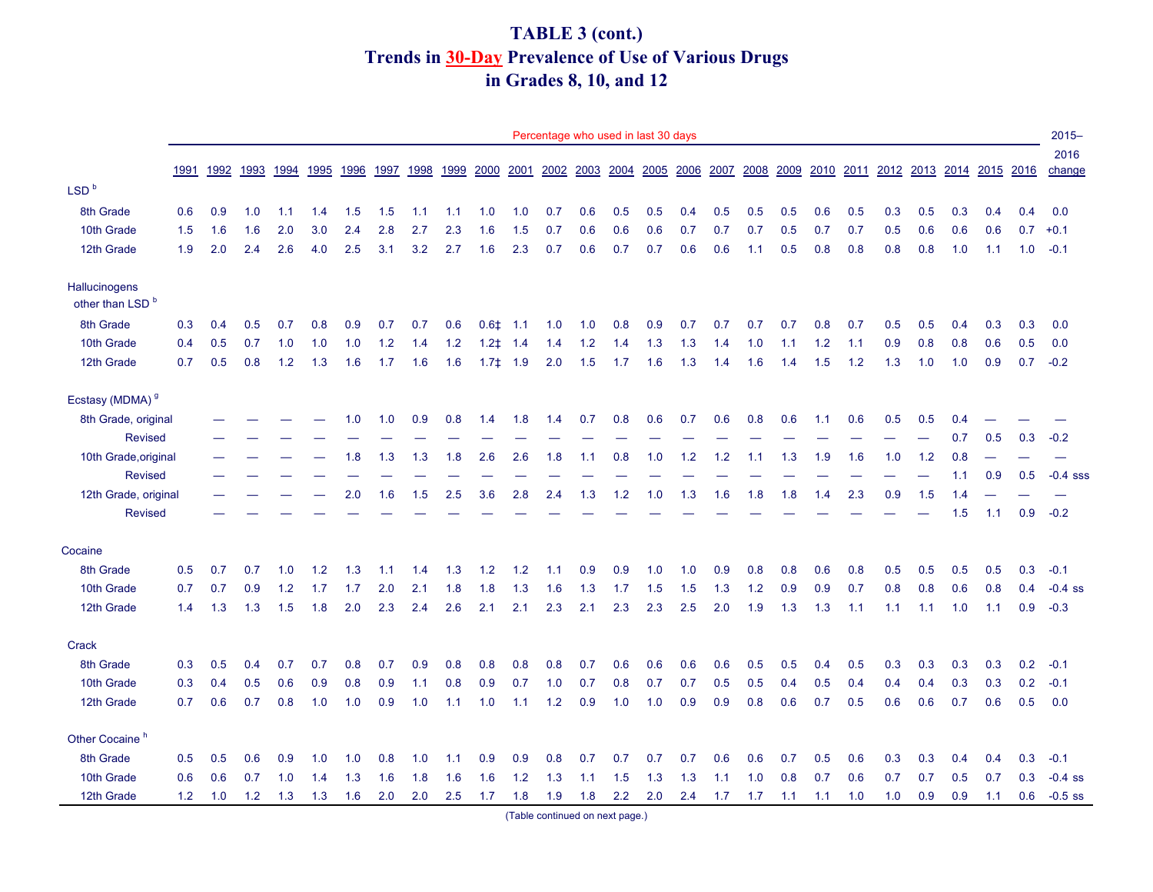# **TABLE 3 (cont.) Trends in 30-Day Prevalence of Use of Various Drugs in Grades 8, 10, and 12**

|                                              |      |      |      |      |      |      |      |      |       |              |      | Percentage who used in last 30 days |     |     |     |                               |     |      |      |      |     |     |     |     |                               |     | $2015 -$       |
|----------------------------------------------|------|------|------|------|------|------|------|------|-------|--------------|------|-------------------------------------|-----|-----|-----|-------------------------------|-----|------|------|------|-----|-----|-----|-----|-------------------------------|-----|----------------|
|                                              | 1991 | 1992 | 1993 | 1994 | 1995 | 1996 | 1997 | 1998 | 1999  | 2000         | 2001 |                                     |     |     |     | 2002 2003 2004 2005 2006 2007 |     | 2008 | 2009 | 2010 |     |     |     |     | 2011 2012 2013 2014 2015 2016 |     | 2016<br>change |
| LSD <sup>b</sup>                             |      |      |      |      |      |      |      |      |       |              |      |                                     |     |     |     |                               |     |      |      |      |     |     |     |     |                               |     |                |
| 8th Grade                                    | 0.6  | 0.9  | 1.0  | 1.1  | 1.4  | 1.5  | 1.5  | 1.1  | 1.1   | 1.0          | 1.0  | 0.7                                 | 0.6 | 0.5 | 0.5 | 0.4                           | 0.5 | 0.5  | 0.5  | 0.6  | 0.5 | 0.3 | 0.5 | 0.3 | 0.4                           | 0.4 | 0.0            |
| 10th Grade                                   | 1.5  | 1.6  | 1.6  | 2.0  | 3.0  | 2.4  | 2.8  | 2.7  | 2.3   | 1.6          | 1.5  | 0.7                                 | 0.6 | 0.6 | 0.6 | 0.7                           | 0.7 | 0.7  | 0.5  | 0.7  | 0.7 | 0.5 | 0.6 | 0.6 | 0.6                           | 0.7 | $+0.1$         |
| 12th Grade                                   | 1.9  | 2.0  | 2.4  | 2.6  | 4.0  | 2.5  | 3.1  | 3.2  | 2.7   | 1.6          | 2.3  | 0.7                                 | 0.6 | 0.7 | 0.7 | 0.6                           | 0.6 | 1.1  | 0.5  | 0.8  | 0.8 | 0.8 | 0.8 | 1.0 | 1.1                           | 1.0 | $-0.1$         |
| Hallucinogens<br>other than LSD <sup>b</sup> |      |      |      |      |      |      |      |      |       |              |      |                                     |     |     |     |                               |     |      |      |      |     |     |     |     |                               |     |                |
| 8th Grade                                    | 0.3  | 0.4  | 0.5  | 0.7  | 0.8  | 0.9  | 0.7  | 0.7  | 0.6   | 0.61         | 1.1  | 1.0                                 | 1.0 | 0.8 | 0.9 | 0.7                           | 0.7 | 0.7  | 0.7  | 0.8  | 0.7 | 0.5 | 0.5 | 0.4 | 0.3                           | 0.3 | 0.0            |
| 10th Grade                                   | 0.4  | 0.5  | 0.7  | 1.0  | 1.0  | 1.0  | 1.2  | 1.4  | $1.2$ | $1.2+$       | 1.4  | 1.4                                 | 1.2 | 1.4 | 1.3 | 1.3                           | 1.4 | 1.0  | 1.1  | 1.2  | 1.1 | 0.9 | 0.8 | 0.8 | 0.6                           | 0.5 | 0.0            |
| 12th Grade                                   | 0.7  | 0.5  | 0.8  | 1.2  | 1.3  | 1.6  | 1.7  | 1.6  | 1.6   | $1.7\pm 1.9$ |      | 2.0                                 | 1.5 | 1.7 | 1.6 | 1.3                           | 1.4 | 1.6  | 1.4  | 1.5  | 1.2 | 1.3 | 1.0 | 1.0 | 0.9                           | 0.7 | $-0.2$         |
| Ecstasy (MDMA) <sup>9</sup>                  |      |      |      |      |      |      |      |      |       |              |      |                                     |     |     |     |                               |     |      |      |      |     |     |     |     |                               |     |                |
| 8th Grade, original                          |      |      |      |      |      | 1.0  | 1.0  | 0.9  | 0.8   | 1.4          | 1.8  | 1.4                                 | 0.7 | 0.8 | 0.6 | 0.7                           | 0.6 | 0.8  | 0.6  | 1.1  | 0.6 | 0.5 | 0.5 | 0.4 |                               |     |                |
| <b>Revised</b>                               |      |      |      |      |      |      |      |      |       |              |      |                                     |     |     |     |                               |     |      |      |      |     |     |     | 0.7 | 0.5                           | 0.3 | $-0.2$         |
| 10th Grade, original                         |      |      |      |      |      | 1.8  | 1.3  | 1.3  | 1.8   | 2.6          | 2.6  | 1.8                                 | 1.1 | 0.8 | 1.0 | 1.2                           | 1.2 | 1.1  | 1.3  | 1.9  | 1.6 | 1.0 | 1.2 | 0.8 |                               |     |                |
| <b>Revised</b>                               |      |      |      |      |      |      |      |      |       |              |      |                                     |     |     |     |                               |     |      |      |      |     |     |     | 1.1 | 0.9                           | 0.5 | $-0.4$ sss     |
| 12th Grade, original                         |      |      |      |      |      | 2.0  | 1.6  | 1.5  | 2.5   | 3.6          | 2.8  | 2.4                                 | 1.3 | 1.2 | 1.0 | 1.3                           | 1.6 | 1.8  | 1.8  | 1.4  | 2.3 | 0.9 | 1.5 | 1.4 |                               |     |                |
| <b>Revised</b>                               |      |      |      |      |      |      |      |      |       |              |      |                                     |     |     |     |                               |     |      |      |      |     |     |     | 1.5 | 1.1                           | 0.9 | $-0.2$         |
| Cocaine                                      |      |      |      |      |      |      |      |      |       |              |      |                                     |     |     |     |                               |     |      |      |      |     |     |     |     |                               |     |                |
| 8th Grade                                    | 0.5  | 0.7  | 0.7  | 1.0  | 1.2  | 1.3  | 1.1  | 1.4  | 1.3   | 1.2          | 1.2  | 1.1                                 | 0.9 | 0.9 | 1.0 | 1.0                           | 0.9 | 0.8  | 0.8  | 0.6  | 0.8 | 0.5 | 0.5 | 0.5 | 0.5                           | 0.3 | $-0.1$         |
| 10th Grade                                   | 0.7  | 0.7  | 0.9  | 1.2  | 1.7  | 1.7  | 2.0  | 2.1  | 1.8   | 1.8          | 1.3  | 1.6                                 | 1.3 | 1.7 | 1.5 | 1.5                           | 1.3 | 1.2  | 0.9  | 0.9  | 0.7 | 0.8 | 0.8 | 0.6 | 0.8                           | 0.4 | $-0.4$ ss      |
| 12th Grade                                   | 1.4  | 1.3  | 1.3  | 1.5  | 1.8  | 2.0  | 2.3  | 2.4  | 2.6   | 2.1          | 2.1  | 2.3                                 | 2.1 | 2.3 | 2.3 | 2.5                           | 2.0 | 1.9  | 1.3  | 1.3  | 1.1 | 1.1 | 1.1 | 1.0 | 1.1                           | 0.9 | $-0.3$         |
| Crack                                        |      |      |      |      |      |      |      |      |       |              |      |                                     |     |     |     |                               |     |      |      |      |     |     |     |     |                               |     |                |
| 8th Grade                                    | 0.3  | 0.5  | 0.4  | 0.7  | 0.7  | 0.8  | 0.7  | 0.9  | 0.8   | 0.8          | 0.8  | 0.8                                 | 0.7 | 0.6 | 0.6 | 0.6                           | 0.6 | 0.5  | 0.5  | 0.4  | 0.5 | 0.3 | 0.3 | 0.3 | 0.3                           | 0.2 | $-0.1$         |
| 10th Grade                                   | 0.3  | 0.4  | 0.5  | 0.6  | 0.9  | 0.8  | 0.9  | 1.1  | 0.8   | 0.9          | 0.7  | 1.0                                 | 0.7 | 0.8 | 0.7 | 0.7                           | 0.5 | 0.5  | 0.4  | 0.5  | 0.4 | 0.4 | 0.4 | 0.3 | 0.3                           | 0.2 | $-0.1$         |
| 12th Grade                                   | 0.7  | 0.6  | 0.7  | 0.8  | 1.0  | 1.0  | 0.9  | 1.0  | 1.1   | 1.0          | 1.1  | 1.2                                 | 0.9 | 1.0 | 1.0 | 0.9                           | 0.9 | 0.8  | 0.6  | 0.7  | 0.5 | 0.6 | 0.6 | 0.7 | 0.6                           | 0.5 | 0.0            |
| Other Cocaine <sup>h</sup>                   |      |      |      |      |      |      |      |      |       |              |      |                                     |     |     |     |                               |     |      |      |      |     |     |     |     |                               |     |                |
| 8th Grade                                    | 0.5  | 0.5  | 0.6  | 0.9  | 1.0  | 1.0  | 0.8  | 1.0  | 1.1   | 0.9          | 0.9  | 0.8                                 | 0.7 | 0.7 | 0.7 | 0.7                           | 0.6 | 0.6  | 0.7  | 0.5  | 0.6 | 0.3 | 0.3 | 0.4 | 0.4                           | 0.3 | $-0.1$         |
| 10th Grade                                   | 0.6  | 0.6  | 0.7  | 1.0  | 1.4  | 1.3  | 1.6  | 1.8  | 1.6   | 1.6          | 1.2  | 1.3                                 | 1.1 | 1.5 | 1.3 | 1.3                           | 1.1 | 1.0  | 0.8  | 0.7  | 0.6 | 0.7 | 0.7 | 0.5 | 0.7                           | 0.3 | $-0.4$ ss      |
| 12th Grade                                   | 1.2  | 1.0  | 1.2  | 1.3  | 1.3  | 1.6  | 2.0  | 2.0  | 2.5   | 1.7          | 1.8  | 1.9                                 | 1.8 | 2.2 | 2.0 | 2.4                           | 1.7 | 1.7  | 1.1  | 1.1  | 1.0 | 1.0 | 0.9 | 0.9 | 1.1                           | 0.6 | $-0.5$ ss      |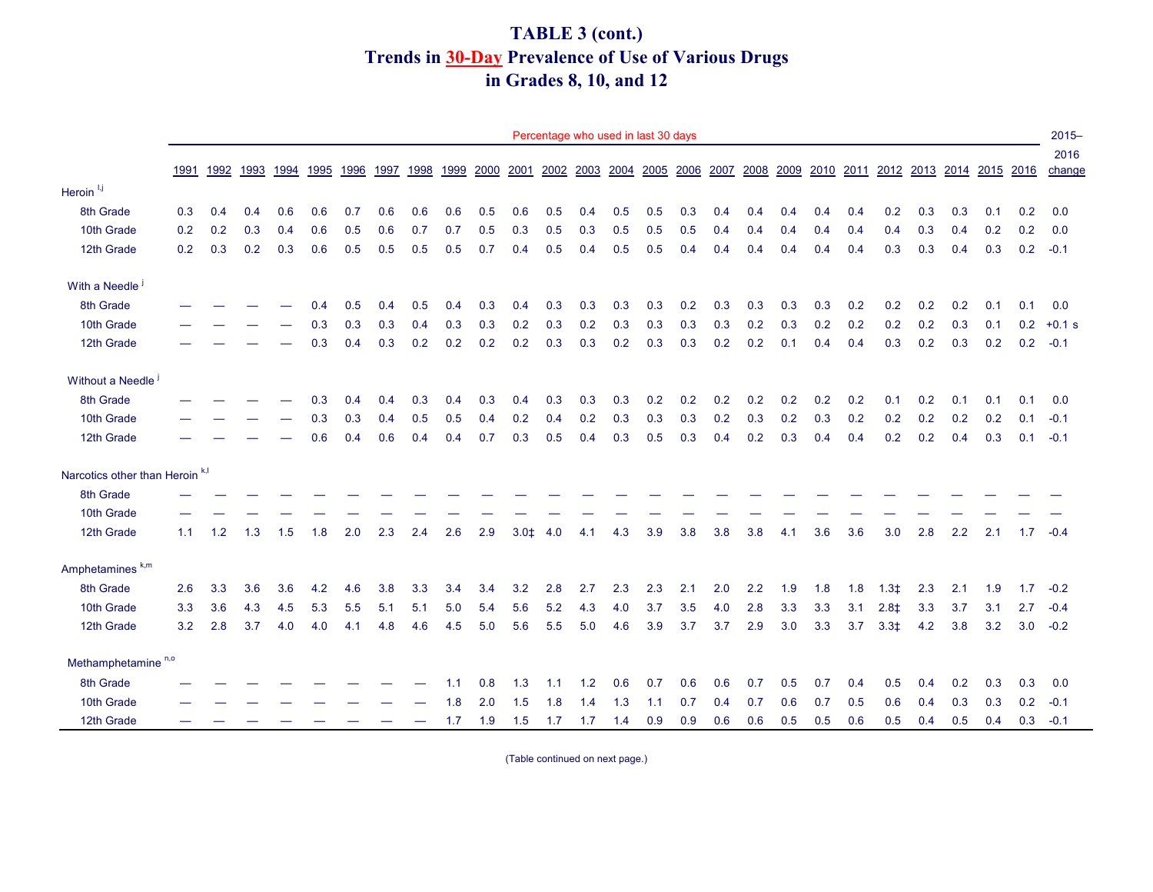# **TABLE 3 (cont.) Trends in 30-Day Prevalence of Use of Various Drugs in Grades 8, 10, and 12**

|                                            |      |      |      |      |      |      |      |      |      |      |        |      | Percentage who used in last 30 days |     |     |                                    |     |     |     |     |     |        |     |     |                                    |     | $2015 -$ |
|--------------------------------------------|------|------|------|------|------|------|------|------|------|------|--------|------|-------------------------------------|-----|-----|------------------------------------|-----|-----|-----|-----|-----|--------|-----|-----|------------------------------------|-----|----------|
|                                            |      |      |      |      |      |      |      |      |      |      |        |      |                                     |     |     |                                    |     |     |     |     |     |        |     |     |                                    |     | 2016     |
|                                            | 1991 | 1992 | 1993 | 1994 | 1995 | 1996 | 1997 | 1998 | 1999 | 2000 | 2001   | 2002 |                                     |     |     | 2003 2004 2005 2006 2007 2008 2009 |     |     |     |     |     |        |     |     | 2010 2011 2012 2013 2014 2015 2016 |     | change   |
| Heroin <sup>1,j</sup>                      |      |      |      |      |      |      |      |      |      |      |        |      |                                     |     |     |                                    |     |     |     |     |     |        |     |     |                                    |     |          |
| 8th Grade                                  | 0.3  | 0.4  | 0.4  | 0.6  | 0.6  | 0.7  | 0.6  | 0.6  | 0.6  | 0.5  | 0.6    | 0.5  | 0.4                                 | 0.5 | 0.5 | 0.3                                | 0.4 | 0.4 | 0.4 | 0.4 | 0.4 | 0.2    | 0.3 | 0.3 | 0.1                                | 0.2 | 0.0      |
| 10th Grade                                 | 0.2  | 0.2  | 0.3  | 0.4  | 0.6  | 0.5  | 0.6  | 0.7  | 0.7  | 0.5  | 0.3    | 0.5  | 0.3                                 | 0.5 | 0.5 | 0.5                                | 0.4 | 0.4 | 0.4 | 0.4 | 0.4 | 0.4    | 0.3 | 0.4 | 0.2                                | 0.2 | 0.0      |
| 12th Grade                                 | 0.2  | 0.3  | 0.2  | 0.3  | 0.6  | 0.5  | 0.5  | 0.5  | 0.5  | 0.7  | 0.4    | 0.5  | 0.4                                 | 0.5 | 0.5 | 0.4                                | 0.4 | 0.4 | 0.4 | 0.4 | 0.4 | 0.3    | 0.3 | 0.4 | 0.3                                | 0.2 | $-0.1$   |
| With a Needle <sup>j</sup>                 |      |      |      |      |      |      |      |      |      |      |        |      |                                     |     |     |                                    |     |     |     |     |     |        |     |     |                                    |     |          |
| 8th Grade                                  |      |      |      |      | 0.4  | 0.5  | 0.4  | 0.5  | 0.4  | 0.3  | 0.4    | 0.3  | 0.3                                 | 0.3 | 0.3 | 0.2                                | 0.3 | 0.3 | 0.3 | 0.3 | 0.2 | 0.2    | 0.2 | 0.2 | 0.1                                | 0.1 | 0.0      |
| 10th Grade                                 |      |      |      |      | 0.3  | 0.3  | 0.3  | 0.4  | 0.3  | 0.3  | 0.2    | 0.3  | 0.2                                 | 0.3 | 0.3 | 0.3                                | 0.3 | 0.2 | 0.3 | 0.2 | 0.2 | 0.2    | 0.2 | 0.3 | 0.1                                | 0.2 | $+0.1 s$ |
| 12th Grade                                 |      |      |      |      | 0.3  | 0.4  | 0.3  | 0.2  | 0.2  | 0.2  | 0.2    | 0.3  | 0.3                                 | 0.2 | 0.3 | 0.3                                | 0.2 | 0.2 | 0.1 | 0.4 | 0.4 | 0.3    | 0.2 | 0.3 | 0.2                                | 0.2 | $-0.1$   |
| Without a Needle <sup>j</sup>              |      |      |      |      |      |      |      |      |      |      |        |      |                                     |     |     |                                    |     |     |     |     |     |        |     |     |                                    |     |          |
| 8th Grade                                  |      |      |      |      | 0.3  | 0.4  | 0.4  | 0.3  | 0.4  | 0.3  | 0.4    | 0.3  | 0.3                                 | 0.3 | 0.2 | 0.2                                | 0.2 | 0.2 | 0.2 | 0.2 | 0.2 | 0.1    | 0.2 | 0.1 | 0.1                                | 0.1 | 0.0      |
| 10th Grade                                 |      |      |      |      | 0.3  | 0.3  | 0.4  | 0.5  | 0.5  | 0.4  | 0.2    | 0.4  | 0.2                                 | 0.3 | 0.3 | 0.3                                | 0.2 | 0.3 | 0.2 | 0.3 | 0.2 | 0.2    | 0.2 | 0.2 | 0.2                                | 0.1 | $-0.1$   |
| 12th Grade                                 |      |      |      |      | 0.6  | 0.4  | 0.6  | 0.4  | 0.4  | 0.7  | 0.3    | 0.5  | 0.4                                 | 0.3 | 0.5 | 0.3                                | 0.4 | 0.2 | 0.3 | 0.4 | 0.4 | 0.2    | 0.2 | 0.4 | 0.3                                | 0.1 | $-0.1$   |
| Narcotics other than Heroin <sup>k,l</sup> |      |      |      |      |      |      |      |      |      |      |        |      |                                     |     |     |                                    |     |     |     |     |     |        |     |     |                                    |     |          |
| 8th Grade                                  |      |      |      |      |      |      |      |      |      |      |        |      |                                     |     |     |                                    |     |     |     |     |     |        |     |     |                                    |     |          |
| 10th Grade                                 |      |      |      |      |      |      |      |      |      |      |        |      |                                     |     |     |                                    |     |     |     |     |     |        |     |     |                                    |     |          |
| 12th Grade                                 | 1.1  | 1.2  | 1.3  | 1.5  | 1.8  | 2.0  | 2.3  | 2.4  | 2.6  | 2.9  | $3.0+$ | 4.0  | 4.1                                 | 4.3 | 3.9 | 3.8                                | 3.8 | 3.8 | 4.1 | 3.6 | 3.6 | 3.0    | 2.8 | 2.2 | 2.1                                | 1.7 | $-0.4$   |
| Amphetamines <sup>k,m</sup>                |      |      |      |      |      |      |      |      |      |      |        |      |                                     |     |     |                                    |     |     |     |     |     |        |     |     |                                    |     |          |
| 8th Grade                                  | 2.6  | 3.3  | 3.6  | 3.6  | 4.2  | 4.6  | 3.8  | 3.3  | 3.4  | 3.4  | 3.2    | 2.8  | 2.7                                 | 2.3 | 2.3 | 2.1                                | 2.0 | 2.2 | 1.9 | 1.8 | 1.8 | $1.3+$ | 2.3 | 2.1 | 1.9                                | 1.7 | $-0.2$   |
| 10th Grade                                 | 3.3  | 3.6  | 4.3  | 4.5  | 5.3  | 5.5  | 5.1  | 5.1  | 5.0  | 5.4  | 5.6    | 5.2  | 4.3                                 | 4.0 | 3.7 | 3.5                                | 4.0 | 2.8 | 3.3 | 3.3 | 3.1 | $2.8+$ | 3.3 | 3.7 | 3.1                                | 2.7 | $-0.4$   |
| 12th Grade                                 | 3.2  | 2.8  | 3.7  | 4.0  | 4.0  | 4.1  | 4.8  | 4.6  | 4.5  | 5.0  | 5.6    | 5.5  | 5.0                                 | 4.6 | 3.9 | 3.7                                | 3.7 | 2.9 | 3.0 | 3.3 | 3.7 | $3.3+$ | 4.2 | 3.8 | 3.2                                | 3.0 | $-0.2$   |
| Methamphetamine <sup>n,o</sup>             |      |      |      |      |      |      |      |      |      |      |        |      |                                     |     |     |                                    |     |     |     |     |     |        |     |     |                                    |     |          |
| 8th Grade                                  |      |      |      |      |      |      |      |      | 1.1  | 0.8  | 1.3    | 1.1  | 1.2                                 | 0.6 | 0.7 | 0.6                                | 0.6 | 0.7 | 0.5 | 0.7 | 0.4 | 0.5    | 0.4 | 0.2 | 0.3                                | 0.3 | 0.0      |
| 10th Grade                                 |      |      |      |      |      |      |      |      | 1.8  | 2.0  | 1.5    | 1.8  | 1.4                                 | 1.3 | 1.1 | 0.7                                | 0.4 | 0.7 | 0.6 | 0.7 | 0.5 | 0.6    | 0.4 | 0.3 | 0.3                                | 0.2 | $-0.1$   |
| 12th Grade                                 |      |      |      |      |      |      |      |      | 1.7  | 1.9  | 1.5    | 1.7  | 1.7                                 | 1.4 | 0.9 | 0.9                                | 0.6 | 0.6 | 0.5 | 0.5 | 0.6 | 0.5    | 0.4 | 0.5 | 0.4                                | 0.3 | $-0.1$   |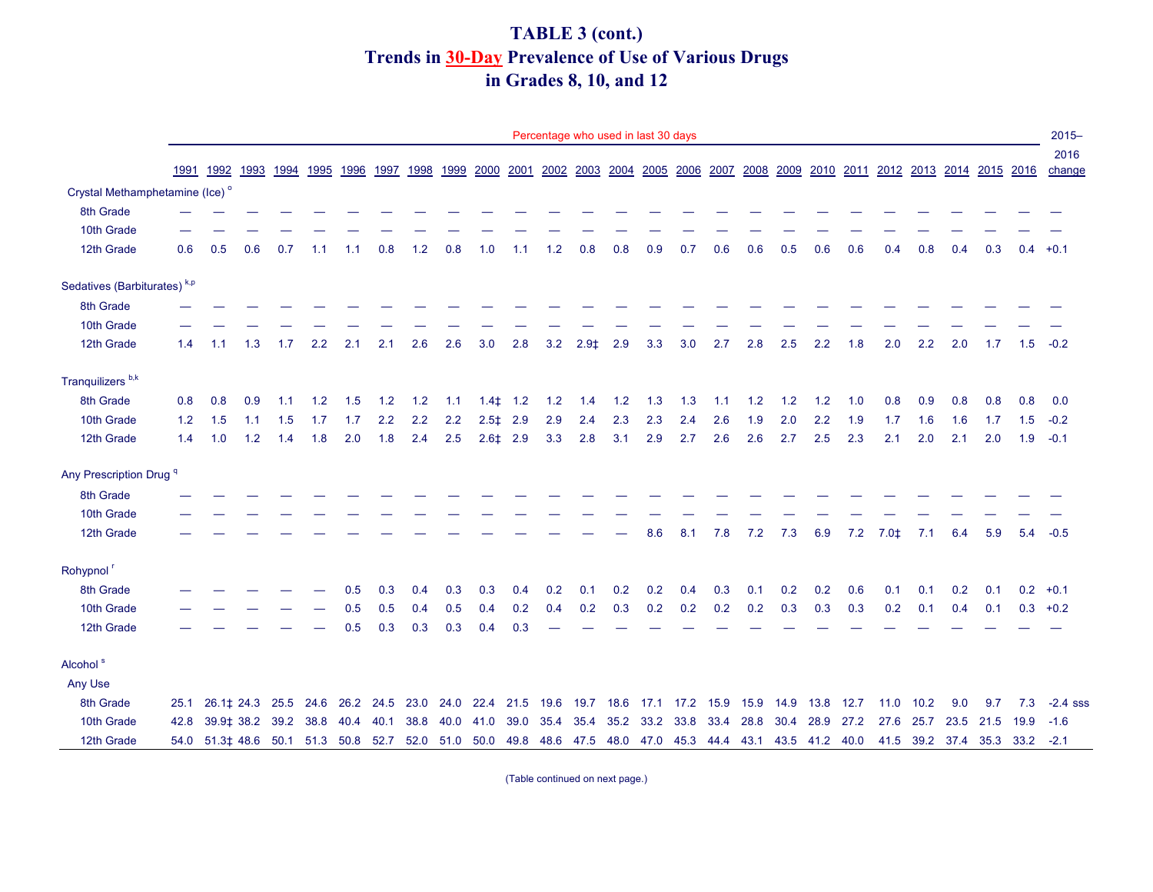## **Trends in 30-Day Prevalence of Use of Various Drugs TABLE 3 (cont.) in Grades 8, 10, and 12**

|                                            |      |                                                                                                            |     |     |                |      |      |       |      |                   |               |      | Percentage who used in last 30 days |      |      |      |      |      |      |       |      |                                                                                                |      |      |      |                          | $2015 -$       |
|--------------------------------------------|------|------------------------------------------------------------------------------------------------------------|-----|-----|----------------|------|------|-------|------|-------------------|---------------|------|-------------------------------------|------|------|------|------|------|------|-------|------|------------------------------------------------------------------------------------------------|------|------|------|--------------------------|----------------|
|                                            |      | 1991 1992 1993                                                                                             |     |     | 1994 1995 1996 |      | 1997 |       |      |                   |               |      |                                     |      |      |      |      |      |      |       |      | 1998 1999 2000 2001 2002 2003 2004 2005 2006 2007 2008 2009 2010 2011 2012 2013 2014 2015 2016 |      |      |      |                          | 2016<br>change |
| Crystal Methamphetamine (Ice) <sup>o</sup> |      |                                                                                                            |     |     |                |      |      |       |      |                   |               |      |                                     |      |      |      |      |      |      |       |      |                                                                                                |      |      |      |                          |                |
| 8th Grade                                  |      |                                                                                                            |     |     |                |      |      |       |      |                   |               |      |                                     |      |      |      |      |      |      |       |      |                                                                                                |      |      |      |                          |                |
| 10th Grade                                 |      |                                                                                                            |     |     |                |      |      |       |      |                   |               |      |                                     |      |      |      |      |      |      |       |      |                                                                                                |      |      |      |                          |                |
| 12th Grade                                 | 0.6  | 0.5                                                                                                        | 0.6 | 0.7 | 1.1            | 1.1  | 0.8  | $1.2$ | 0.8  | 1.0               | 1.1           | 1.2  | 0.8                                 | 0.8  | 0.9  | 0.7  | 0.6  | 0.6  | 0.5  | 0.6   | 0.6  | 0.4                                                                                            | 0.8  | 0.4  | 0.3  |                          | $0.4 +0.1$     |
| Sedatives (Barbiturates) <sup>k,p</sup>    |      |                                                                                                            |     |     |                |      |      |       |      |                   |               |      |                                     |      |      |      |      |      |      |       |      |                                                                                                |      |      |      |                          |                |
| 8th Grade                                  |      |                                                                                                            |     |     |                |      |      |       |      |                   |               |      |                                     |      |      |      |      |      |      |       |      |                                                                                                |      |      |      |                          |                |
| 10th Grade                                 |      |                                                                                                            |     |     |                |      |      |       |      |                   |               |      |                                     |      |      |      |      |      |      |       |      |                                                                                                |      |      |      |                          |                |
| 12th Grade                                 | 1.4  | 1.1                                                                                                        | 1.3 | 1.7 | 2.2            | 2.1  | 2.1  | 2.6   | 2.6  | 3.0               | 2.8           | 3.2  | $2.9+$                              | 2.9  | 3.3  | 3.0  | 2.7  | 2.8  | 2.5  | 2.2   | 1.8  | 2.0                                                                                            | 2.2  | 2.0  | 1.7  | 1.5                      | $-0.2$         |
| Tranquilizers <sup>b,k</sup>               |      |                                                                                                            |     |     |                |      |      |       |      |                   |               |      |                                     |      |      |      |      |      |      |       |      |                                                                                                |      |      |      |                          |                |
| 8th Grade                                  | 0.8  | 0.8                                                                                                        | 0.9 | 1.1 | 1.2            | 1.5  | 1.2  | 1.2   | 1.1  | $1.4\ddagger$ 1.2 |               | 1.2  | 1.4                                 | 1.2  | 1.3  | 1.3  | 1.1  | 1.2  | 1.2  | $1.2$ | 1.0  | 0.8                                                                                            | 0.9  | 0.8  | 0.8  | 0.8                      | 0.0            |
| 10th Grade                                 | 1.2  | 1.5                                                                                                        | 1.1 | 1.5 | 1.7            | 1.7  | 2.2  | 2.2   | 2.2  |                   | $2.5\pm 2.9$  | 2.9  | 2.4                                 | 2.3  | 2.3  | 2.4  | 2.6  | 1.9  | 2.0  | 2.2   | 1.9  | 1.7                                                                                            | 1.6  | 1.6  | 1.7  | 1.5                      | $-0.2$         |
| 12th Grade                                 | 1.4  | 1.0                                                                                                        | 1.2 | 1.4 | 1.8            | 2.0  | 1.8  | 2.4   | 2.5  |                   | $2.6 \pm 2.9$ | 3.3  | 2.8                                 | 3.1  | 2.9  | 2.7  | 2.6  | 2.6  | 2.7  | 2.5   | 2.3  | 2.1                                                                                            | 2.0  | 2.1  | 2.0  | 1.9                      | $-0.1$         |
| Any Prescription Drug <sup>q</sup>         |      |                                                                                                            |     |     |                |      |      |       |      |                   |               |      |                                     |      |      |      |      |      |      |       |      |                                                                                                |      |      |      |                          |                |
| 8th Grade                                  |      |                                                                                                            |     |     |                |      |      |       |      |                   |               |      |                                     |      |      |      |      |      |      |       |      |                                                                                                |      |      |      |                          |                |
| 10th Grade                                 |      |                                                                                                            |     |     |                |      |      |       |      |                   |               |      |                                     |      |      |      |      |      |      |       |      |                                                                                                |      |      |      |                          |                |
| 12th Grade                                 |      |                                                                                                            |     |     |                |      |      |       |      |                   |               |      |                                     |      | 8.6  | 8.1  | 7.8  | 7.2  | 7.3  | 6.9   | 7.2  | $7.0+$                                                                                         | 7.1  | 6.4  | 5.9  | 5.4                      | $-0.5$         |
| Rohypnol <sup>r</sup>                      |      |                                                                                                            |     |     |                |      |      |       |      |                   |               |      |                                     |      |      |      |      |      |      |       |      |                                                                                                |      |      |      |                          |                |
| 8th Grade                                  |      |                                                                                                            |     |     |                | 0.5  | 0.3  | 0.4   | 0.3  | 0.3               | 0.4           | 0.2  | 0.1                                 | 0.2  | 0.2  | 0.4  | 0.3  | 0.1  | 0.2  | 0.2   | 0.6  | 0.1                                                                                            | 0.1  | 0.2  | 0.1  |                          | $0.2 +0.1$     |
| 10th Grade                                 |      |                                                                                                            |     |     |                | 0.5  | 0.5  | 0.4   | 0.5  | 0.4               | 0.2           | 0.4  | 0.2                                 | 0.3  | 0.2  | 0.2  | 0.2  | 0.2  | 0.3  | 0.3   | 0.3  | 0.2                                                                                            | 0.1  | 0.4  | 0.1  |                          | $0.3 +0.2$     |
| 12th Grade                                 |      |                                                                                                            |     |     |                | 0.5  | 0.3  | 0.3   | 0.3  | 0.4               | 0.3           |      |                                     |      |      |      |      |      |      |       |      |                                                                                                |      |      |      |                          |                |
| Alcohol <sup>s</sup>                       |      |                                                                                                            |     |     |                |      |      |       |      |                   |               |      |                                     |      |      |      |      |      |      |       |      |                                                                                                |      |      |      |                          |                |
| Any Use                                    |      |                                                                                                            |     |     |                |      |      |       |      |                   |               |      |                                     |      |      |      |      |      |      |       |      |                                                                                                |      |      |      |                          |                |
| 8th Grade                                  |      | 25.1 26.1 ‡ 24.3 25.5 24.6 26.2 24.5                                                                       |     |     |                |      |      | 23.0  | 24.0 | 22.4              | 21.5 19.6     |      | 19.7                                | 18.6 | 17.1 | 17.2 | 15.9 | 15.9 | 14.9 | 13.8  | 12.7 | 11.0                                                                                           | 10.2 | 9.0  | 9.7  | 7.3                      | $-2.4$ sss     |
| 10th Grade                                 | 42.8 | 39.9 $\sharp$ 38.2 39.2                                                                                    |     |     | 38.8           | 40.4 | 40.1 | 38.8  | 40.0 | 41.0              | 39.0          | 35.4 | 35.4                                | 35.2 | 33.2 | 33.8 | 33.4 | 28.8 | 30.4 | 28.9  | 27.2 | 27.6                                                                                           | 25.7 | 23.5 | 21.5 | 19.9                     | $-1.6$         |
| 12th Grade                                 |      | 54.0 51.3 ‡ 48.6 50.1 51.3 50.8 52.7 52.0 51.0 50.0 49.8 48.6 47.5 48.0 47.0 45.3 44.4 43.1 43.5 41.2 40.0 |     |     |                |      |      |       |      |                   |               |      |                                     |      |      |      |      |      |      |       |      |                                                                                                |      |      |      | 41.5 39.2 37.4 35.3 33.2 | $-2.1$         |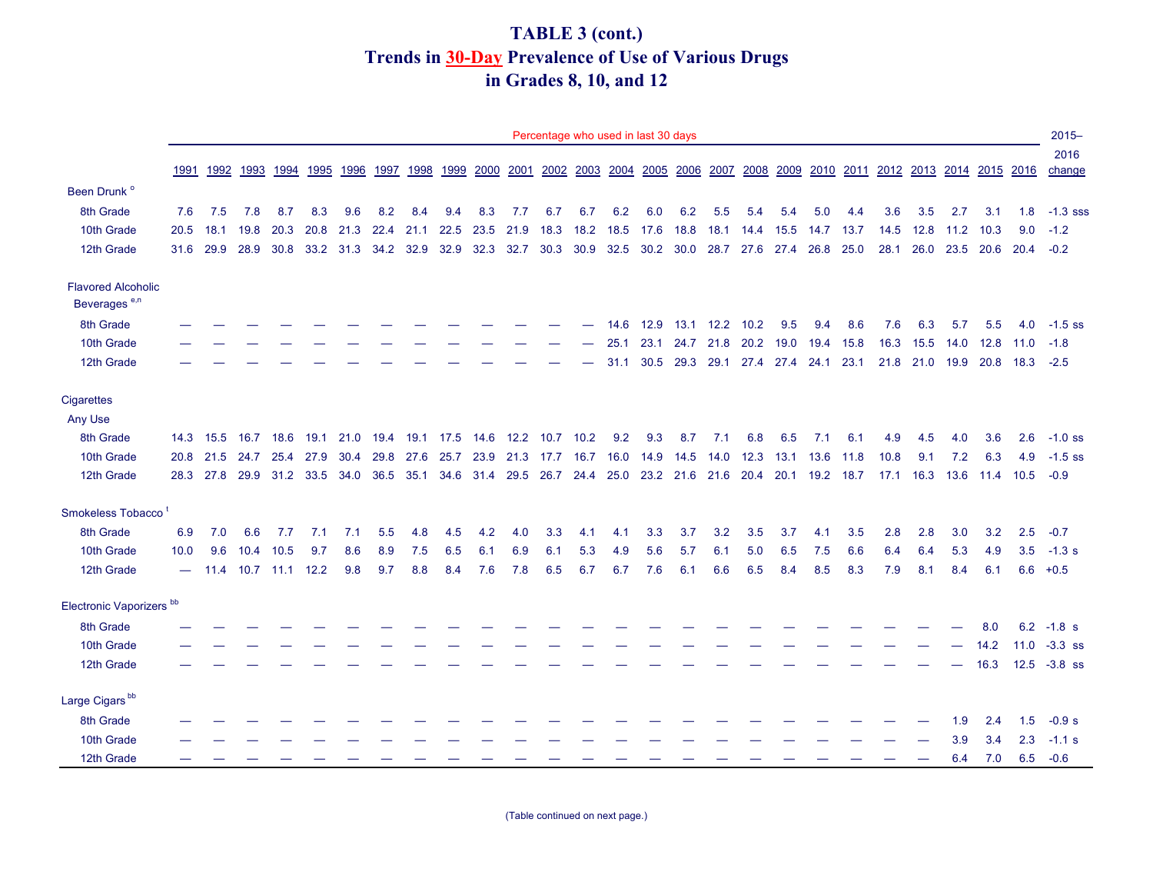## **TABLE 3 (cont.) Trends in 30-Day Prevalence of Use of Various Drugs in Grades 8, 10, and 12**

|                                     |      |                                         |           |                     |           |                     |      |      |           |                |      |      | Percentage who used in last 30 days |                               |      |      |           |                                                   |      |      |      |           |           |      |                                              |      | $2015 -$        |
|-------------------------------------|------|-----------------------------------------|-----------|---------------------|-----------|---------------------|------|------|-----------|----------------|------|------|-------------------------------------|-------------------------------|------|------|-----------|---------------------------------------------------|------|------|------|-----------|-----------|------|----------------------------------------------|------|-----------------|
|                                     | 1991 |                                         | 1992 1993 |                     | 1994 1995 | 1996                | 1997 | 1998 |           | 1999 2000      |      |      | 2001 2002 2003 2004 2005 2006 2007  |                               |      |      |           |                                                   |      |      |      |           |           |      | 2008 2009 2010 2011 2012 2013 2014 2015 2016 |      | 2016<br>change  |
| Been Drunk <sup>o</sup>             |      |                                         |           |                     |           |                     |      |      |           |                |      |      |                                     |                               |      |      |           |                                                   |      |      |      |           |           |      |                                              |      |                 |
| 8th Grade                           | 7.6  | 7.5                                     | 7.8       | 8.7                 | 8.3       | 9.6                 | 8.2  | 8.4  | 9.4       | 8.3            | 7.7  | 6.7  | 6.7                                 | 6.2                           | 6.0  | 6.2  | 5.5       | 5.4                                               | 5.4  | 5.0  | 4.4  | 3.6       | 3.5       | 2.7  | 3.1                                          | 1.8  | $-1.3$ sss      |
| 10th Grade                          | 20.5 | 18.1                                    | 19.8      | 20.3                |           | 20.8 21.3 22.4 21.1 |      |      | 22.5      | 23.5           | 21.9 | 18.3 | 18.2                                | 18.5                          | 17.6 | 18.8 | 18.1      | 14.4                                              | 15.5 | 14.7 | 13.7 | 14.5      | 12.8      | 11.2 | 10.3                                         | 9.0  | $-1.2$          |
| 12th Grade                          | 31.6 | 29.9                                    | 28.9      | 30.8                |           | 33.2 31.3 34.2 32.9 |      |      | 32.9      | 32.3           | 32.7 | 30.3 |                                     | 30.9 32.5 30.2 30.0 28.7 27.6 |      |      |           |                                                   | 27.4 | 26.8 | 25.0 | 28.1      | 26.0      |      | 23.5 20.6                                    | 20.4 | $-0.2$          |
| <b>Flavored Alcoholic</b>           |      |                                         |           |                     |           |                     |      |      |           |                |      |      |                                     |                               |      |      |           |                                                   |      |      |      |           |           |      |                                              |      |                 |
| Beverages <sup>e,n</sup>            |      |                                         |           |                     |           |                     |      |      |           |                |      |      |                                     |                               |      |      |           |                                                   |      |      |      |           |           |      |                                              |      |                 |
| 8th Grade                           |      |                                         |           |                     |           |                     |      |      |           |                |      |      |                                     | 14.6                          | 12.9 | 13.1 | 12.2 10.2 |                                                   | 9.5  | 9.4  | 8.6  | 7.6       | 6.3       | 5.7  | 5.5                                          | 4.0  | $-1.5$ ss       |
| 10th Grade                          |      |                                         |           |                     |           |                     |      |      |           |                |      |      |                                     | 25.1                          | 23.1 | 24.7 | 21.8      | 20.2                                              | 19.0 | 19.4 | 15.8 | 16.3      | 15.5      | 14.0 | 12.8                                         | 11.0 | $-1.8$          |
| 12th Grade                          |      |                                         |           |                     |           |                     |      |      |           |                |      |      |                                     | 31.1                          | 30.5 |      |           | 29.3 29.1 27.4 27.4 24.1 23.1                     |      |      |      |           | 21.8 21.0 |      | 19.9 20.8 18.3                               |      | $-2.5$          |
| <b>Cigarettes</b>                   |      |                                         |           |                     |           |                     |      |      |           |                |      |      |                                     |                               |      |      |           |                                                   |      |      |      |           |           |      |                                              |      |                 |
| Any Use                             |      |                                         |           |                     |           |                     |      |      |           |                |      |      |                                     |                               |      |      |           |                                                   |      |      |      |           |           |      |                                              |      |                 |
| 8th Grade                           |      | 14.3 15.5                               | 16.7      | 18.6                | 19.1      | 21.0                | 19.4 | 19.1 | 17.5 14.6 |                | 12.2 | 10.7 | 10.2                                | 9.2                           | 9.3  | 8.7  | 7.1       | 6.8                                               | 6.5  | 7.1  | 6.1  | 4.9       | 4.5       | 4.0  | 3.6                                          | 2.6  | $-1.0$ ss       |
| 10th Grade                          | 20.8 | 21.5                                    | 24.7      | 25.4                | 27.9      | 30.4                | 29.8 | 27.6 | 25.7      | 23.9           | 21.3 | 17.7 | 16.7                                | 16.0                          | 14.9 | 14.5 | 14.0      | 12.3                                              | 13.1 | 13.6 | 11.8 | 10.8      | 9.1       | 7.2  | 6.3                                          | 4.9  | $-1.5$ ss       |
| 12th Grade                          |      | 28.3 27.8 29.9 31.2 33.5 34.0 36.5 35.1 |           |                     |           |                     |      |      |           | 34.6 31.4 29.5 |      |      |                                     |                               |      |      |           | 26.7 24.4 25.0 23.2 21.6 21.6 20.4 20.1 19.2 18.7 |      |      |      | 17.1 16.3 |           |      | 13.6 11.4 10.5                               |      | $-0.9$          |
| Smokeless Tobacco <sup>t</sup>      |      |                                         |           |                     |           |                     |      |      |           |                |      |      |                                     |                               |      |      |           |                                                   |      |      |      |           |           |      |                                              |      |                 |
| 8th Grade                           | 6.9  | 7.0                                     | 6.6       | 7.7                 | 7.1       | 7.1                 | 5.5  | 4.8  | 4.5       | 4.2            | 4.0  | 3.3  | 4.1                                 | 4.1                           | 3.3  | 3.7  | 3.2       | 3.5                                               | 3.7  | 4.1  | 3.5  | 2.8       | 2.8       | 3.0  | 3.2                                          | 2.5  | $-0.7$          |
| 10th Grade                          | 10.0 | 9.6                                     | 10.4      | 10.5                | 9.7       | 8.6                 | 8.9  | 7.5  | 6.5       | 6.1            | 6.9  | 6.1  | 5.3                                 | 4.9                           | 5.6  | 5.7  | 6.1       | 5.0                                               | 6.5  | 7.5  | 6.6  | 6.4       | 6.4       | 5.3  | 4.9                                          | 3.5  | $-1.3 s$        |
| 12th Grade                          |      |                                         |           | 11.4 10.7 11.1 12.2 |           | 9.8                 | 9.7  | 8.8  | 8.4       | 7.6            | 7.8  | 6.5  | 6.7                                 | 6.7                           | 7.6  | 6.1  | 6.6       | 6.5                                               | 8.4  | 8.5  | 8.3  | 7.9       | 8.1       | 8.4  | 6.1                                          |      | $6.6 + 0.5$     |
| Electronic Vaporizers <sup>bb</sup> |      |                                         |           |                     |           |                     |      |      |           |                |      |      |                                     |                               |      |      |           |                                                   |      |      |      |           |           |      |                                              |      |                 |
| 8th Grade                           |      |                                         |           |                     |           |                     |      |      |           |                |      |      |                                     |                               |      |      |           |                                                   |      |      |      |           |           |      | 8.0                                          |      | $6.2 -1.8 s$    |
| 10th Grade                          |      |                                         |           |                     |           |                     |      |      |           |                |      |      |                                     |                               |      |      |           |                                                   |      |      |      |           |           |      | 14.2                                         | 11.0 | $-3.3$ ss       |
| 12th Grade                          |      |                                         |           |                     |           |                     |      |      |           |                |      |      |                                     |                               |      |      |           |                                                   |      |      |      |           |           |      | 16.3                                         |      | $12.5 - 3.8$ ss |
| Large Cigars <sup>bb</sup>          |      |                                         |           |                     |           |                     |      |      |           |                |      |      |                                     |                               |      |      |           |                                                   |      |      |      |           |           |      |                                              |      |                 |
| 8th Grade                           |      |                                         |           |                     |           |                     |      |      |           |                |      |      |                                     |                               |      |      |           |                                                   |      |      |      |           |           | 1.9  | 2.4                                          | 1.5  | $-0.9 s$        |
| 10th Grade                          |      |                                         |           |                     |           |                     |      |      |           |                |      |      |                                     |                               |      |      |           |                                                   |      |      |      |           |           | 3.9  | 3.4                                          | 2.3  | $-1.1$ s        |
| 12th Grade                          |      |                                         |           |                     |           |                     |      |      |           |                |      |      |                                     |                               |      |      |           |                                                   |      |      |      |           |           | 6.4  | 7.0                                          | 6.5  | $-0.6$          |